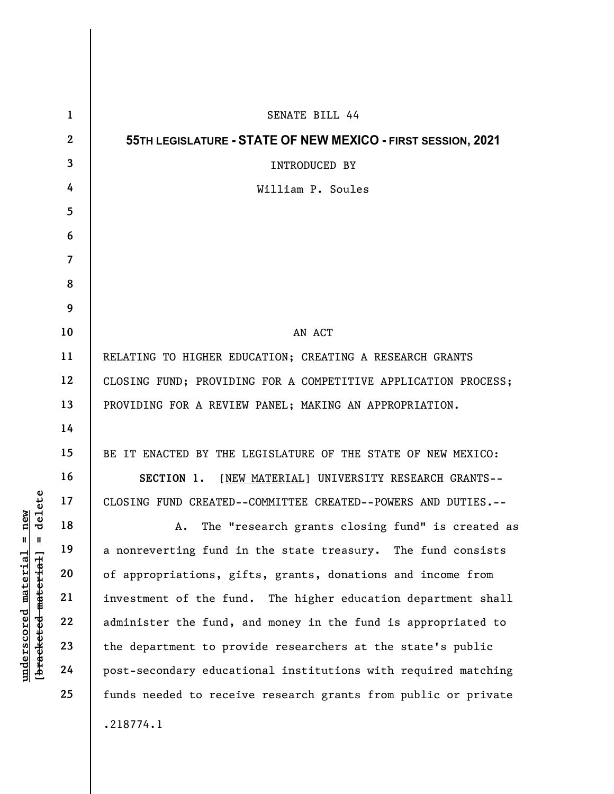|                                                                                    | $\mathbf{1}$   | SENATE BILL 44                                                 |  |  |  |  |  |  |  |  |
|------------------------------------------------------------------------------------|----------------|----------------------------------------------------------------|--|--|--|--|--|--|--|--|
|                                                                                    | $\mathbf{2}$   | 55TH LEGISLATURE - STATE OF NEW MEXICO - FIRST SESSION, 2021   |  |  |  |  |  |  |  |  |
|                                                                                    | 3              | <b>INTRODUCED BY</b>                                           |  |  |  |  |  |  |  |  |
|                                                                                    | 4              | William P. Soules                                              |  |  |  |  |  |  |  |  |
|                                                                                    | $\overline{5}$ |                                                                |  |  |  |  |  |  |  |  |
|                                                                                    | 6              |                                                                |  |  |  |  |  |  |  |  |
|                                                                                    | $\overline{7}$ |                                                                |  |  |  |  |  |  |  |  |
|                                                                                    | 8              |                                                                |  |  |  |  |  |  |  |  |
|                                                                                    | 9              |                                                                |  |  |  |  |  |  |  |  |
|                                                                                    | 10             | AN ACT                                                         |  |  |  |  |  |  |  |  |
|                                                                                    | 11             | RELATING TO HIGHER EDUCATION; CREATING A RESEARCH GRANTS       |  |  |  |  |  |  |  |  |
|                                                                                    | 12             | CLOSING FUND; PROVIDING FOR A COMPETITIVE APPLICATION PROCESS; |  |  |  |  |  |  |  |  |
|                                                                                    | 13             | PROVIDING FOR A REVIEW PANEL; MAKING AN APPROPRIATION.         |  |  |  |  |  |  |  |  |
|                                                                                    | 14             |                                                                |  |  |  |  |  |  |  |  |
|                                                                                    | 15             | BE IT ENACTED BY THE LEGISLATURE OF THE STATE OF NEW MEXICO:   |  |  |  |  |  |  |  |  |
|                                                                                    | 16             | SECTION 1. [NEW MATERIAL] UNIVERSITY RESEARCH GRANTS--         |  |  |  |  |  |  |  |  |
| delete                                                                             | 17             | CLOSING FUND CREATED--COMMITTEE CREATED--POWERS AND DUTIES.--  |  |  |  |  |  |  |  |  |
| new<br>Ⅱ  <br>$\mathbf{u}$<br><u>material</u><br>[ <del>bracketed material</del> ] | 18             | The "research grants closing fund" is created as<br>A.         |  |  |  |  |  |  |  |  |
|                                                                                    | 19             | a nonreverting fund in the state treasury. The fund consists   |  |  |  |  |  |  |  |  |
|                                                                                    | 20             | of appropriations, gifts, grants, donations and income from    |  |  |  |  |  |  |  |  |
|                                                                                    | 21             | investment of the fund. The higher education department shall  |  |  |  |  |  |  |  |  |
|                                                                                    | 22             | administer the fund, and money in the fund is appropriated to  |  |  |  |  |  |  |  |  |
| underscored                                                                        | 23             | the department to provide researchers at the state's public    |  |  |  |  |  |  |  |  |
|                                                                                    | 24             | post-secondary educational institutions with required matching |  |  |  |  |  |  |  |  |
|                                                                                    | 25             | funds needed to receive research grants from public or private |  |  |  |  |  |  |  |  |
|                                                                                    |                | .218774.1                                                      |  |  |  |  |  |  |  |  |
|                                                                                    |                |                                                                |  |  |  |  |  |  |  |  |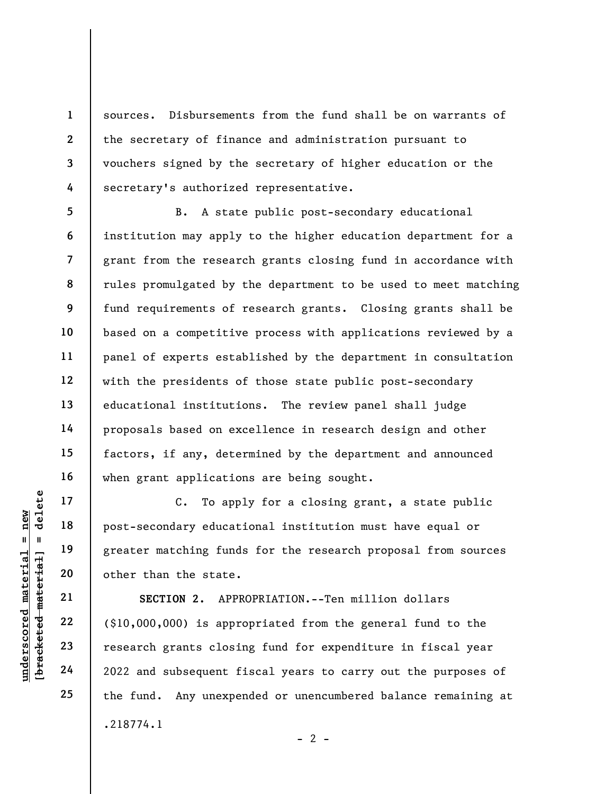sources. Disbursements from the fund shall be on warrants of the secretary of finance and administration pursuant to vouchers signed by the secretary of higher education or the secretary's authorized representative.

5 6 7 8 9 10 11 12 13 14 15 16 B. A state public post-secondary educational institution may apply to the higher education department for a grant from the research grants closing fund in accordance with rules promulgated by the department to be used to meet matching fund requirements of research grants. Closing grants shall be based on a competitive process with applications reviewed by a panel of experts established by the department in consultation with the presidents of those state public post-secondary educational institutions. The review panel shall judge proposals based on excellence in research design and other factors, if any, determined by the department and announced when grant applications are being sought.

C. To apply for a closing grant, a state public post-secondary educational institution must have equal or greater matching funds for the research proposal from sources other than the state.

UNDERENDENT MATHEM 19<br>
UNDERENDENT MATHEM 19<br>
UNDERWHEND 20<br>
UNDERWHEND 21<br>
UNDERWHEND 22<br>
UNDERWHEND 22<br>
UNDERWHEND 22<br>
UNDERWHEND 22<br>
UNDERWHEND 22<br>
UNDERWHEND 22<br>
UNDERWHEND 22<br>
UNDERWHEND 22<br>
UNDERWHEND 22<br>
UNDERWHEND SECTION 2. APPROPRIATION.--Ten million dollars (\$10,000,000) is appropriated from the general fund to the research grants closing fund for expenditure in fiscal year 2022 and subsequent fiscal years to carry out the purposes of the fund. Any unexpended or unencumbered balance remaining at .218774.1

17

18

19

20

21

22

23

24

25

1

2

3

4

 $- 2 -$